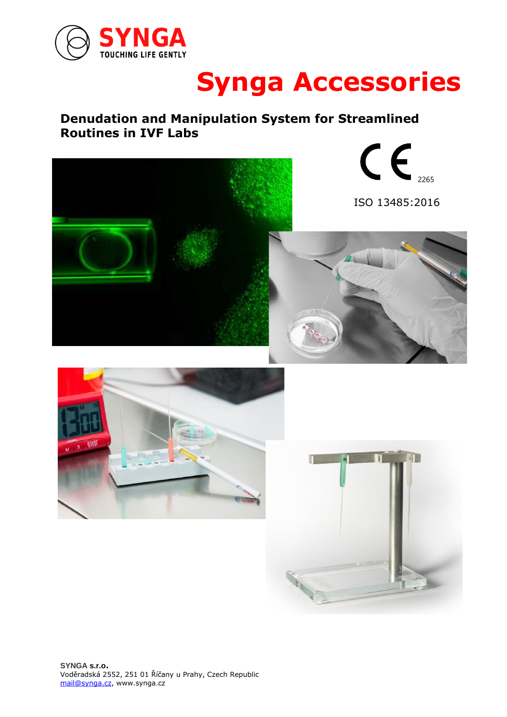

# **Synga Accessories**

### **Denudation and Manipulation System for Streamlined Routines in IVF Labs**



 $c \epsilon$ 

ISO 13485:2016